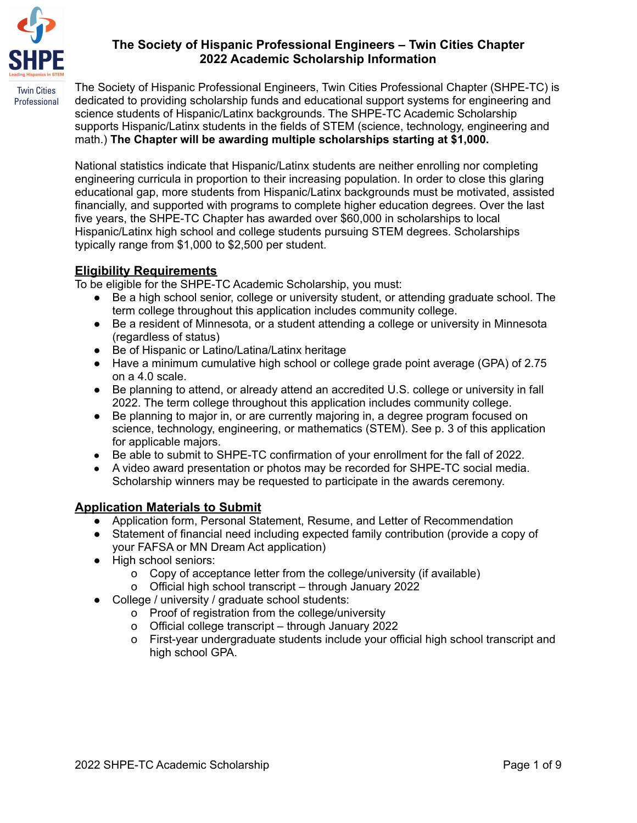

# **The Society of Hispanic Professional Engineers – Twin Cities Chapter 2022 Academic Scholarship Information**

The Society of Hispanic Professional Engineers, Twin Cities Professional Chapter (SHPE-TC) is dedicated to providing scholarship funds and educational support systems for engineering and science students of Hispanic/Latinx backgrounds. The SHPE-TC Academic Scholarship supports Hispanic/Latinx students in the fields of STEM (science, technology, engineering and math.) **The Chapter will be awarding multiple scholarships starting at \$1,000.**

National statistics indicate that Hispanic/Latinx students are neither enrolling nor completing engineering curricula in proportion to their increasing population. In order to close this glaring educational gap, more students from Hispanic/Latinx backgrounds must be motivated, assisted financially, and supported with programs to complete higher education degrees. Over the last five years, the SHPE-TC Chapter has awarded over \$60,000 in scholarships to local Hispanic/Latinx high school and college students pursuing STEM degrees. Scholarships typically range from \$1,000 to \$2,500 per student.

# **Eligibility Requirements**

To be eligible for the SHPE-TC Academic Scholarship, you must:

- Be a high school senior, college or university student, or attending graduate school. The term college throughout this application includes community college.
- Be a resident of Minnesota, or a student attending a college or university in Minnesota (regardless of status)
- Be of Hispanic or Latino/Latina/Latinx heritage
- Have a minimum cumulative high school or college grade point average (GPA) of 2.75 on a 4.0 scale.
- Be planning to attend, or already attend an accredited U.S. college or university in fall 2022. The term college throughout this application includes community college.
- Be planning to major in, or are currently majoring in, a degree program focused on science, technology, engineering, or mathematics (STEM). See p. 3 of this application for applicable majors.
- Be able to submit to SHPE-TC confirmation of your enrollment for the fall of 2022.
- A video award presentation or photos may be recorded for SHPE-TC social media. Scholarship winners may be requested to participate in the awards ceremony.

### **Application Materials to Submit**

- Application form, Personal Statement, Resume, and Letter of Recommendation
- Statement of financial need including expected family contribution (provide a copy of your FAFSA or MN Dream Act application)
- High school seniors:
	- o Copy of acceptance letter from the college/university (if available)
	- o Official high school transcript through January 2022
- College / university / graduate school students:
	- o Proof of registration from the college/university
	- o Official college transcript through January 2022
	- o First-year undergraduate students include your official high school transcript and high school GPA.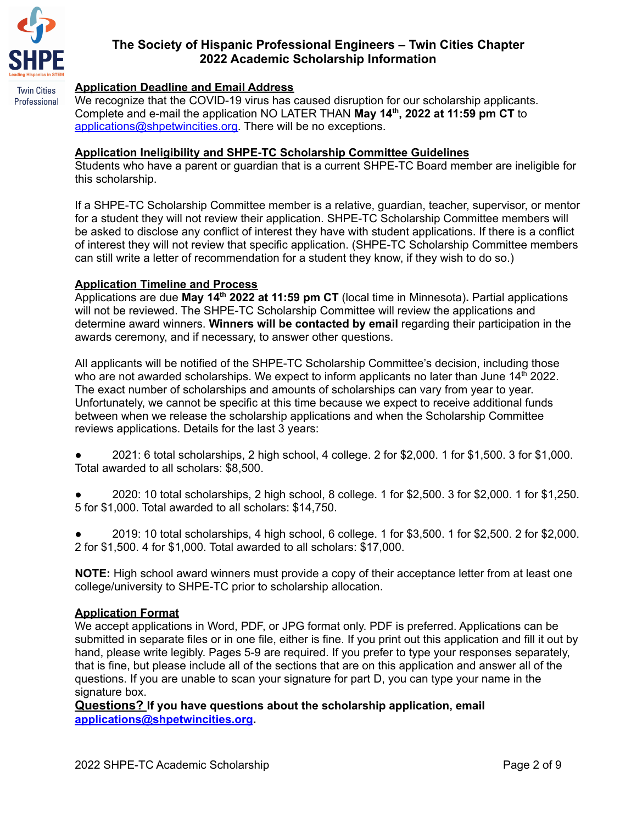

Professional

#### **Application Deadline and Email Address**

We recognize that the COVID-19 virus has caused disruption for our scholarship applicants. Complete and e-mail the application NO LATER THAN **May 14 th , 2022 at 11:59 pm CT** to [applications@shpetwincities.org.](mailto:applications@shpetwincities.org) There will be no exceptions.

#### **Application Ineligibility and SHPE-TC Scholarship Committee Guidelines**

Students who have a parent or guardian that is a current SHPE-TC Board member are ineligible for this scholarship.

If a SHPE-TC Scholarship Committee member is a relative, guardian, teacher, supervisor, or mentor for a student they will not review their application. SHPE-TC Scholarship Committee members will be asked to disclose any conflict of interest they have with student applications. If there is a conflict of interest they will not review that specific application. (SHPE-TC Scholarship Committee members can still write a letter of recommendation for a student they know, if they wish to do so.)

#### **Application Timeline and Process**

Applications are due **May 14 th 2022 at 11:59 pm CT** (local time in Minnesota)**.** Partial applications will not be reviewed. The SHPE-TC Scholarship Committee will review the applications and determine award winners. **Winners will be contacted by email** regarding their participation in the awards ceremony, and if necessary, to answer other questions.

All applicants will be notified of the SHPE-TC Scholarship Committee's decision, including those who are not awarded scholarships. We expect to inform applicants no later than June 14<sup>th</sup> 2022. The exact number of scholarships and amounts of scholarships can vary from year to year. Unfortunately, we cannot be specific at this time because we expect to receive additional funds between when we release the scholarship applications and when the Scholarship Committee reviews applications. Details for the last 3 years:

● 2021: 6 total scholarships, 2 high school, 4 college. 2 for \$2,000. 1 for \$1,500. 3 for \$1,000. Total awarded to all scholars: \$8,500.

● 2020: 10 total scholarships, 2 high school, 8 college. 1 for \$2,500. 3 for \$2,000. 1 for \$1,250. 5 for \$1,000. Total awarded to all scholars: \$14,750.

● 2019: 10 total scholarships, 4 high school, 6 college. 1 for \$3,500. 1 for \$2,500. 2 for \$2,000. 2 for \$1,500. 4 for \$1,000. Total awarded to all scholars: \$17,000.

**NOTE:** High school award winners must provide a copy of their acceptance letter from at least one college/university to SHPE-TC prior to scholarship allocation.

#### **Application Format**

We accept applications in Word, PDF, or JPG format only. PDF is preferred. Applications can be submitted in separate files or in one file, either is fine. If you print out this application and fill it out by hand, please write legibly. Pages 5-9 are required. If you prefer to type your responses separately, that is fine, but please include all of the sections that are on this application and answer all of the questions. If you are unable to scan your signature for part D, you can type your name in the signature box.

**Questions? If you have questions about the scholarship application, email [applications@shpetwincities.org](mailto:applications@shpetwincities.org).**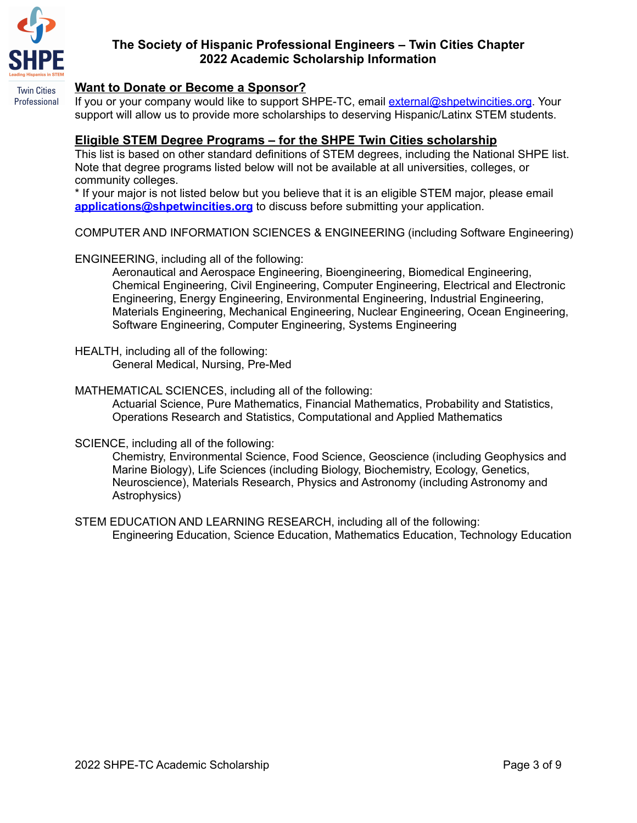

**Twin Cities** Professional

# **The Society of Hispanic Professional Engineers – Twin Cities Chapter 2022 Academic Scholarship Information**

#### **Want to Donate or Become a Sponsor?**

If you or your company would like to support SHPE-TC, email [external@shpetwincities.org](mailto:external@shpetwincities.org). Your support will allow us to provide more scholarships to deserving Hispanic/Latinx STEM students.

#### **Eligible STEM Degree Programs – for the SHPE Twin Cities scholarship**

This list is based on other standard definitions of STEM degrees, including the National SHPE list. Note that degree programs listed below will not be available at all universities, colleges, or community colleges.

\* If your major is not listed below but you believe that it is an eligible STEM major, please email **[applications@shpetwincities.org](mailto:applications@shpetwincities.org)** to discuss before submitting your application.

COMPUTER AND INFORMATION SCIENCES & ENGINEERING (including Software Engineering)

ENGINEERING, including all of the following:

Aeronautical and Aerospace Engineering, Bioengineering, Biomedical Engineering, Chemical Engineering, Civil Engineering, Computer Engineering, Electrical and Electronic Engineering, Energy Engineering, Environmental Engineering, Industrial Engineering, Materials Engineering, Mechanical Engineering, Nuclear Engineering, Ocean Engineering, Software Engineering, Computer Engineering, Systems Engineering

HEALTH, including all of the following: General Medical, Nursing, Pre-Med

MATHEMATICAL SCIENCES, including all of the following:

Actuarial Science, Pure Mathematics, Financial Mathematics, Probability and Statistics, Operations Research and Statistics, Computational and Applied Mathematics

SCIENCE, including all of the following:

Chemistry, Environmental Science, Food Science, Geoscience (including Geophysics and Marine Biology), Life Sciences (including Biology, Biochemistry, Ecology, Genetics, Neuroscience), Materials Research, Physics and Astronomy (including Astronomy and Astrophysics)

STEM EDUCATION AND LEARNING RESEARCH, including all of the following: Engineering Education, Science Education, Mathematics Education, Technology Education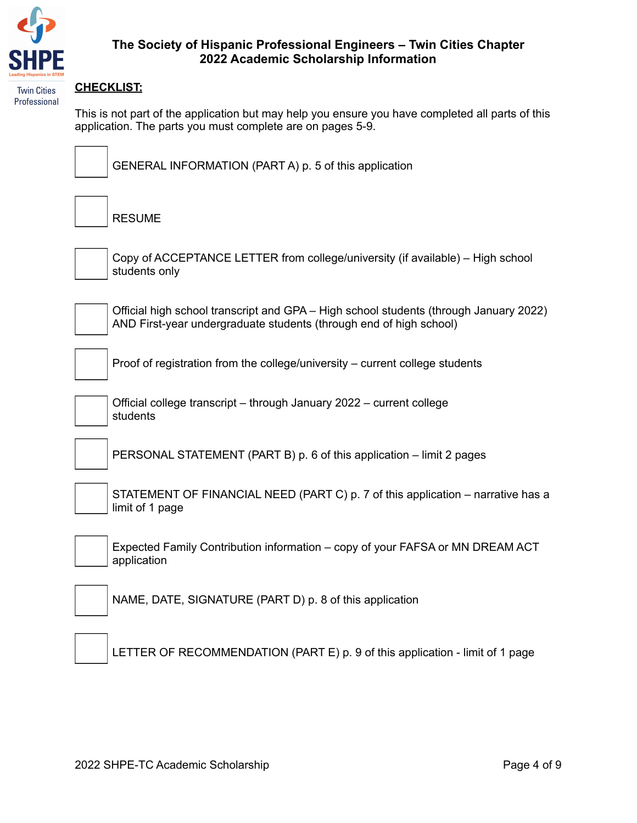

## **The Society of Hispanic Professional Engineers – Twin Cities Chapter 2022 Academic Scholarship Information**

#### **CHECKLIST:**

This is not part of the application but may help you ensure you have completed all parts of this application. The parts you must complete are on pages 5-9.



GENERAL INFORMATION (PART A) p. 5 of this application

RESUME



Copy of ACCEPTANCE LETTER from college/university (if available) – High school students only



Official high school transcript and GPA – High school students (through January 2022) AND First-year undergraduate students (through end of high school)

Proof of registration from the college/university – current college students



Official college transcript – through January 2022 – current college students

PERSONAL STATEMENT (PART B) p. 6 of this application – limit 2 pages

STATEMENT OF FINANCIAL NEED (PART C) p. 7 of this application – narrative has a limit of 1 page



Expected Family Contribution information – copy of your FAFSA or MN DREAM ACT application



NAME, DATE, SIGNATURE (PART D) p. 8 of this application

LETTER OF RECOMMENDATION (PART E) p. 9 of this application - limit of 1 page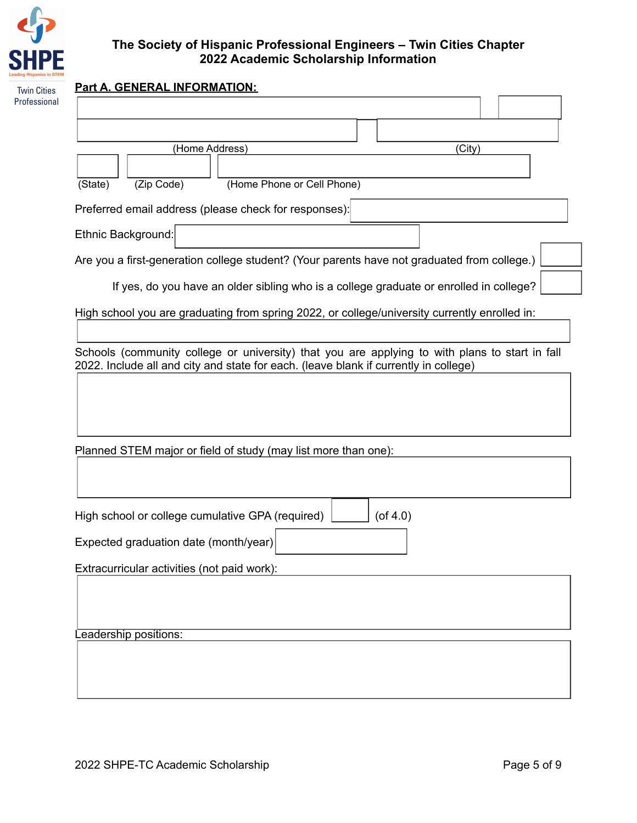

| <b>Part A. GENERAL INFORMATION:</b> |                                                                                                          |  |  |
|-------------------------------------|----------------------------------------------------------------------------------------------------------|--|--|
|                                     |                                                                                                          |  |  |
|                                     |                                                                                                          |  |  |
|                                     | (Home Address)<br>(City)                                                                                 |  |  |
|                                     |                                                                                                          |  |  |
|                                     | (Home Phone or Cell Phone)<br>(State)<br>(Zip Code)                                                      |  |  |
|                                     | Preferred email address (please check for responses):                                                    |  |  |
|                                     | Ethnic Background:                                                                                       |  |  |
|                                     | Are you a first-generation college student? (Your parents have not graduated from college.)              |  |  |
|                                     | If yes, do you have an older sibling who is a college graduate or enrolled in college?                   |  |  |
|                                     |                                                                                                          |  |  |
|                                     | High school you are graduating from spring 2022, or college/university currently enrolled in:            |  |  |
|                                     | Schools (community college or university) that you are applying to with plans to start in fall           |  |  |
|                                     | 2022. Include all and city and state for each. (leave blank if currently in college)                     |  |  |
|                                     | Planned STEM major or field of study (may list more than one):                                           |  |  |
|                                     |                                                                                                          |  |  |
|                                     |                                                                                                          |  |  |
|                                     | High school or college cumulative GPA (required)<br>$($ of 4.0)<br>Expected graduation date (month/year) |  |  |
|                                     | Extracurricular activities (not paid work):                                                              |  |  |
|                                     |                                                                                                          |  |  |
|                                     | Leadership positions:                                                                                    |  |  |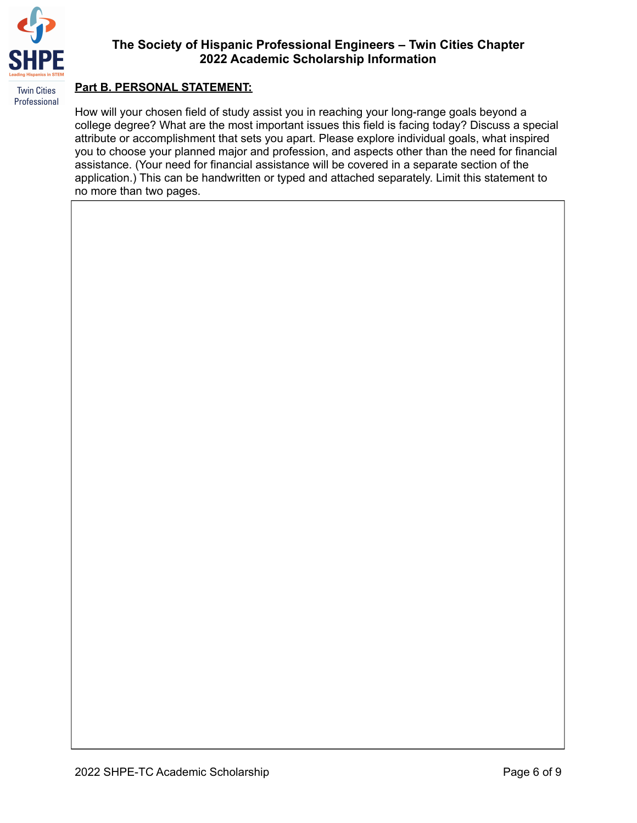

# **The Society of Hispanic Professional Engineers – Twin Cities Chapter 2022 Academic Scholarship Information**

#### **Part B. PERSONAL STATEMENT:**

How will your chosen field of study assist you in reaching your long-range goals beyond a college degree? What are the most important issues this field is facing today? Discuss a special attribute or accomplishment that sets you apart. Please explore individual goals, what inspired you to choose your planned major and profession, and aspects other than the need for financial assistance. (Your need for financial assistance will be covered in a separate section of the application.) This can be handwritten or typed and attached separately. Limit this statement to no more than two pages.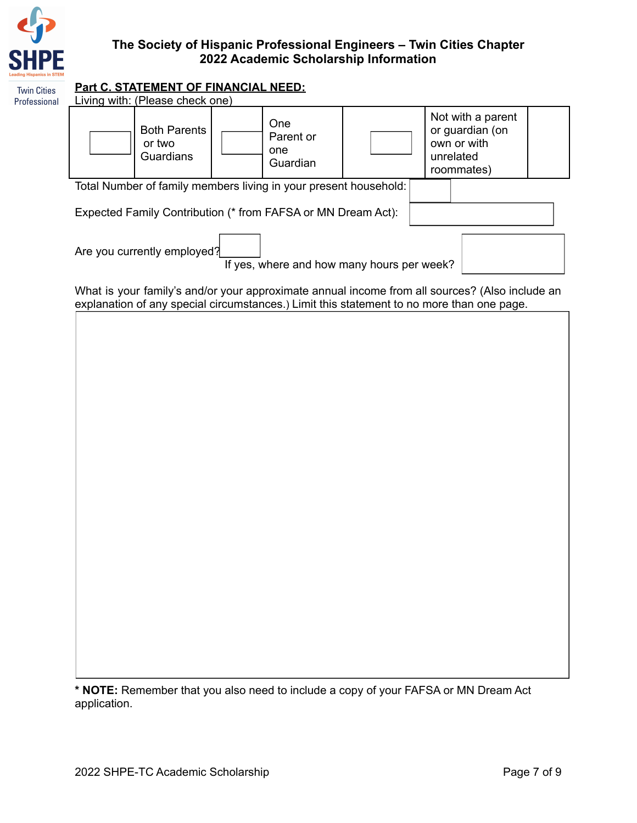

#### **Part C. STATEMENT OF FINANCIAL NEED: Twin Cities**

| <b>Twin Cities</b><br>Professional | <u>Part C. STATEMENT OF FINANCIAL NEED:</u><br>Living with: (Please check one)                                                                                                              |  |  |  |
|------------------------------------|---------------------------------------------------------------------------------------------------------------------------------------------------------------------------------------------|--|--|--|
|                                    | Not with a parent<br>One<br><b>Both Parents</b><br>or guardian (on<br>Parent or<br>own or with<br>or two<br>one<br>Guardians<br>unrelated<br>Guardian<br>roommates)                         |  |  |  |
|                                    | Total Number of family members living in your present household:                                                                                                                            |  |  |  |
|                                    | Expected Family Contribution (* from FAFSA or MN Dream Act):                                                                                                                                |  |  |  |
|                                    | Are you currently employed?<br>If yes, where and how many hours per week?                                                                                                                   |  |  |  |
|                                    | What is your family's and/or your approximate annual income from all sources? (Also include an<br>explanation of any special circumstances.) Limit this statement to no more than one page. |  |  |  |
|                                    |                                                                                                                                                                                             |  |  |  |
|                                    |                                                                                                                                                                                             |  |  |  |
|                                    |                                                                                                                                                                                             |  |  |  |
|                                    |                                                                                                                                                                                             |  |  |  |
|                                    |                                                                                                                                                                                             |  |  |  |
|                                    |                                                                                                                                                                                             |  |  |  |
|                                    |                                                                                                                                                                                             |  |  |  |
|                                    |                                                                                                                                                                                             |  |  |  |
|                                    |                                                                                                                                                                                             |  |  |  |
|                                    |                                                                                                                                                                                             |  |  |  |
|                                    |                                                                                                                                                                                             |  |  |  |
|                                    |                                                                                                                                                                                             |  |  |  |

**\* NOTE:** Remember that you also need to include a copy of your FAFSA or MN Dream Act application.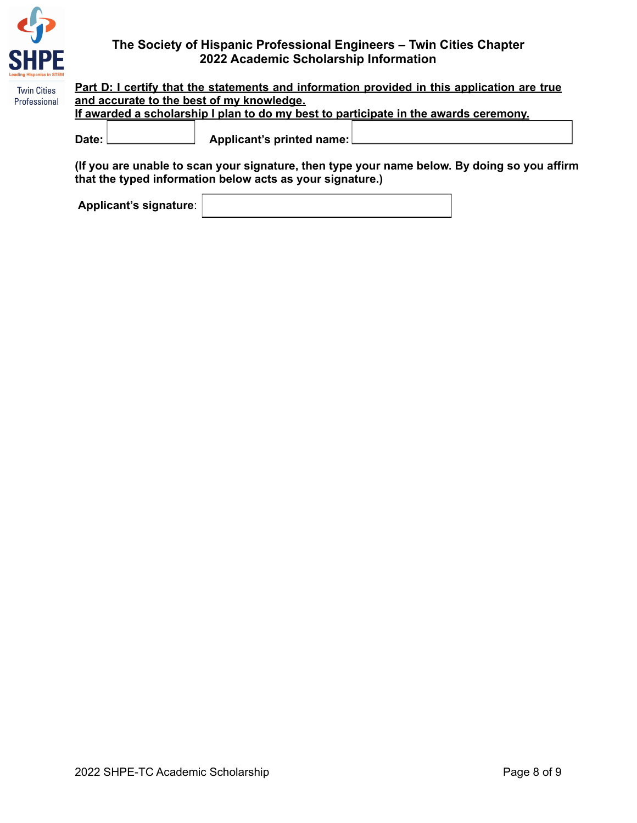

| <b>Twin Cities</b> | <u>Part D: I certify that the statements and information provided in this application are true</u>                                |  |                             |  |  |  |
|--------------------|-----------------------------------------------------------------------------------------------------------------------------------|--|-----------------------------|--|--|--|
| Professional       | and accurate to the best of my knowledge.<br>If awarded a scholarship I plan to do my best to participate in the awards ceremony. |  |                             |  |  |  |
|                    |                                                                                                                                   |  |                             |  |  |  |
|                    |                                                                                                                                   |  |                             |  |  |  |
|                    | Date:                                                                                                                             |  | Applicant's printed name: [ |  |  |  |
|                    |                                                                                                                                   |  |                             |  |  |  |

**(If you are unable to scan your signature, then type your name below. By doing so you affirm that the typed information below acts as your signature.)**

**Applicant's signature**: